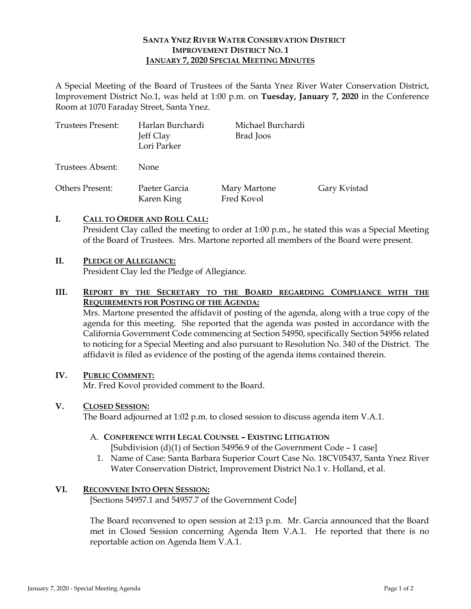#### **SANTA YNEZ RIVER WATER CONSERVATION DISTRICT IMPROVEMENT DISTRICT NO. 1 JANUARY 7, 2020 SPECIAL MEETING MINUTES**

A Special Meeting of the Board of Trustees of the Santa Ynez River Water Conservation District, Improvement District No.1, was held at 1:00 p.m. on **Tuesday, January 7, 2020** in the Conference Room at 1070 Faraday Street, Santa Ynez.

| Trustees Present: | Harlan Burchardi<br>Jeff Clay<br>Lori Parker | Michael Burchardi<br>Brad Joos |              |
|-------------------|----------------------------------------------|--------------------------------|--------------|
| Trustees Absent:  | <b>None</b>                                  |                                |              |
| Others Present:   | Paeter Garcia<br>Karen King                  | Mary Martone<br>Fred Kovol     | Gary Kvistad |

#### **I. CALL TO ORDER AND ROLL CALL:**

President Clay called the meeting to order at 1:00 p.m., he stated this was a Special Meeting of the Board of Trustees. Mrs. Martone reported all members of the Board were present.

### **II. PLEDGE OF ALLEGIANCE:**

President Clay led the Pledge of Allegiance.

## **III. REPORT BY THE SECRETARY TO THE BOARD REGARDING COMPLIANCE WITH THE REQUIREMENTS FOR POSTING OF THE AGENDA:**

Mrs. Martone presented the affidavit of posting of the agenda, along with a true copy of the agenda for this meeting. She reported that the agenda was posted in accordance with the California Government Code commencing at Section 54950, specifically Section 54956 related to noticing for a Special Meeting and also pursuant to Resolution No. 340 of the District. The affidavit is filed as evidence of the posting of the agenda items contained therein.

#### **IV. PUBLIC COMMENT:**

Mr. Fred Kovol provided comment to the Board.

#### **V. CLOSED SESSION:**

The Board adjourned at 1:02 p.m. to closed session to discuss agenda item V.A.1.

## A. **CONFERENCE WITH LEGAL COUNSEL – EXISTING LITIGATION**

[Subdivision (d)(1) of Section 54956.9 of the Government Code – 1 case]

1. Name of Case: Santa Barbara Superior Court Case No. 18CV05437, Santa Ynez River Water Conservation District, Improvement District No.1 v. Holland, et al.

#### **VI. RECONVENE INTO OPEN SESSION:**

[Sections 54957.1 and 54957.7 of the Government Code]

The Board reconvened to open session at 2:13 p.m. Mr. Garcia announced that the Board met in Closed Session concerning Agenda Item V.A.1. He reported that there is no reportable action on Agenda Item V.A.1.